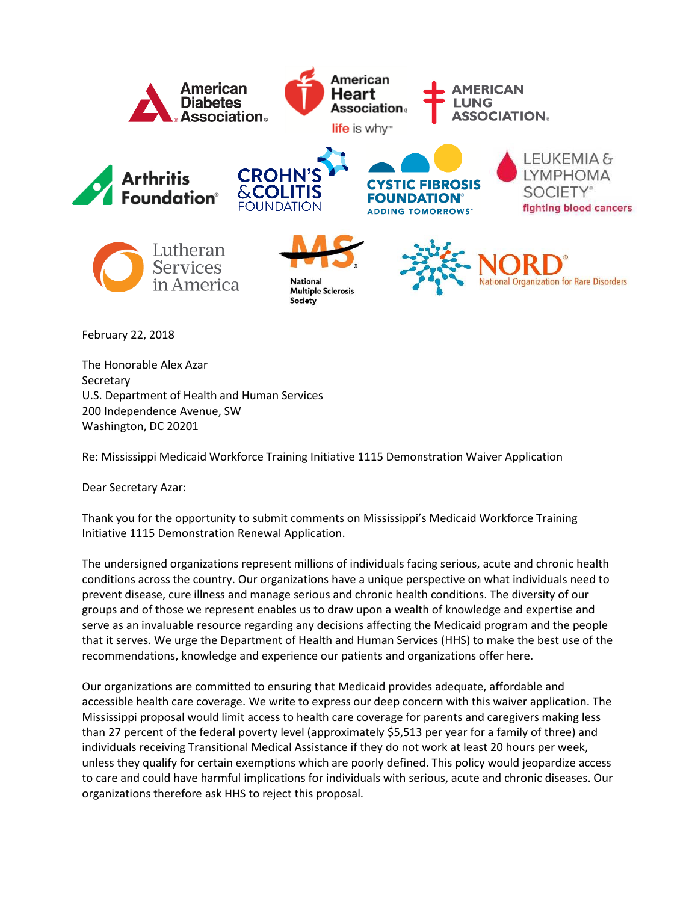

The Honorable Alex Azar Secretary U.S. Department of Health and Human Services 200 Independence Avenue, SW Washington, DC 20201

Re: Mississippi Medicaid Workforce Training Initiative 1115 Demonstration Waiver Application

Dear Secretary Azar:

Thank you for the opportunity to submit comments on Mississippi's Medicaid Workforce Training Initiative 1115 Demonstration Renewal Application.

The undersigned organizations represent millions of individuals facing serious, acute and chronic health conditions across the country. Our organizations have a unique perspective on what individuals need to prevent disease, cure illness and manage serious and chronic health conditions. The diversity of our groups and of those we represent enables us to draw upon a wealth of knowledge and expertise and serve as an invaluable resource regarding any decisions affecting the Medicaid program and the people that it serves. We urge the Department of Health and Human Services (HHS) to make the best use of the recommendations, knowledge and experience our patients and organizations offer here.

Our organizations are committed to ensuring that Medicaid provides adequate, affordable and accessible health care coverage. We write to express our deep concern with this waiver application. The Mississippi proposal would limit access to health care coverage for parents and caregivers making less than 27 percent of the federal poverty level (approximately \$5,513 per year for a family of three) and individuals receiving Transitional Medical Assistance if they do not work at least 20 hours per week, unless they qualify for certain exemptions which are poorly defined. This policy would jeopardize access to care and could have harmful implications for individuals with serious, acute and chronic diseases. Our organizations therefore ask HHS to reject this proposal.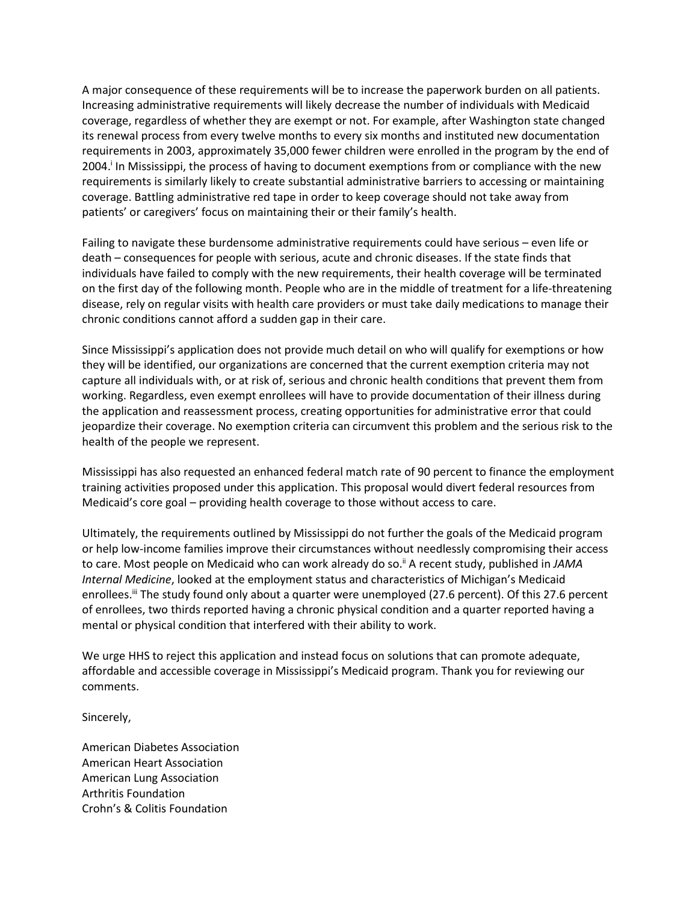A major consequence of these requirements will be to increase the paperwork burden on all patients. Increasing administrative requirements will likely decrease the number of individuals with Medicaid coverage, regardless of whether they are exempt or not. For example, after Washington state changed its renewal process from every twelve months to every six months and instituted new documentation requirements in 2003, approximately 35,000 fewer children were enrolled in the program by the end of 2004.<sup>i</sup> In Mississippi, the process of having to document exemptions from or compliance with the new requirements is similarly likely to create substantial administrative barriers to accessing or maintaining coverage. Battling administrative red tape in order to keep coverage should not take away from patients' or caregivers' focus on maintaining their or their family's health.

Failing to navigate these burdensome administrative requirements could have serious – even life or death – consequences for people with serious, acute and chronic diseases. If the state finds that individuals have failed to comply with the new requirements, their health coverage will be terminated on the first day of the following month. People who are in the middle of treatment for a life-threatening disease, rely on regular visits with health care providers or must take daily medications to manage their chronic conditions cannot afford a sudden gap in their care.

Since Mississippi's application does not provide much detail on who will qualify for exemptions or how they will be identified, our organizations are concerned that the current exemption criteria may not capture all individuals with, or at risk of, serious and chronic health conditions that prevent them from working. Regardless, even exempt enrollees will have to provide documentation of their illness during the application and reassessment process, creating opportunities for administrative error that could jeopardize their coverage. No exemption criteria can circumvent this problem and the serious risk to the health of the people we represent.

Mississippi has also requested an enhanced federal match rate of 90 percent to finance the employment training activities proposed under this application. This proposal would divert federal resources from Medicaid's core goal – providing health coverage to those without access to care.

Ultimately, the requirements outlined by Mississippi do not further the goals of the Medicaid program or help low-income families improve their circumstances without needlessly compromising their access to care. Most people on Medicaid who can work already do so.<sup>ii</sup> A recent study, published in JAMA *Internal Medicine*, looked at the employment status and characteristics of Michigan's Medicaid enrollees.<sup>iii</sup> The study found only about a quarter were unemployed (27.6 percent). Of this 27.6 percent of enrollees, two thirds reported having a chronic physical condition and a quarter reported having a mental or physical condition that interfered with their ability to work.

We urge HHS to reject this application and instead focus on solutions that can promote adequate, affordable and accessible coverage in Mississippi's Medicaid program. Thank you for reviewing our comments.

Sincerely,

American Diabetes Association American Heart Association American Lung Association Arthritis Foundation Crohn's & Colitis Foundation